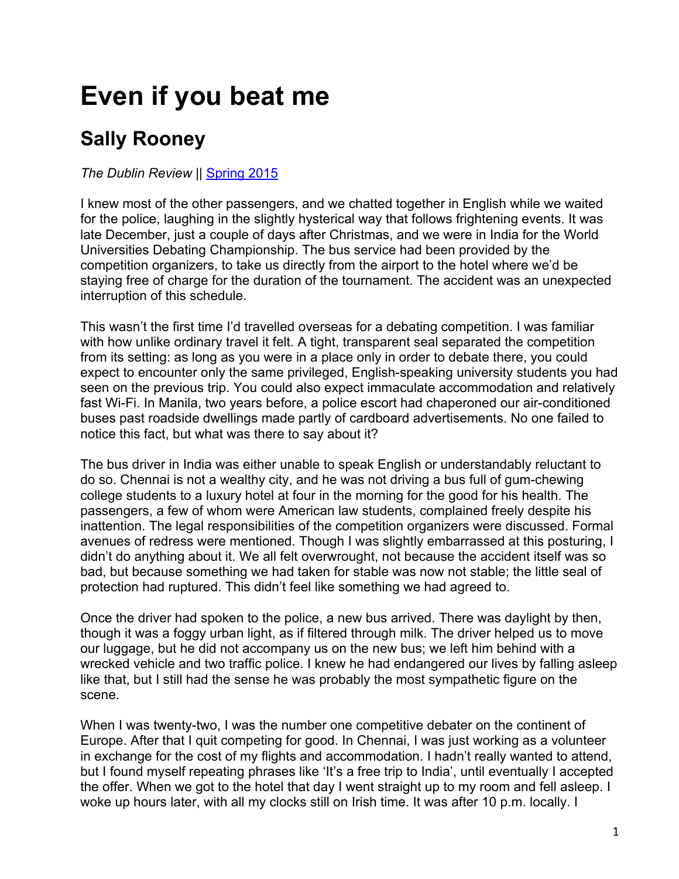## **Even if you beat me**

## **Sally Rooney**

## *The Dublin Review* || Spring 2015

I knew most of the other passengers, and we chatted together in English while we waited for the police, laughing in the slightly hysterical way that follows frightening events. It was late December, just a couple of days after Christmas, and we were in India for the World Universities Debating Championship. The bus service had been provided by the competition organizers, to take us directly from the airport to the hotel where we'd be staying free of charge for the duration of the tournament. The accident was an unexpected interruption of this schedule.

This wasn't the first time I'd travelled overseas for a debating competition. I was familiar with how unlike ordinary travel it felt. A tight, transparent seal separated the competition from its setting: as long as you were in a place only in order to debate there, you could expect to encounter only the same privileged, English-speaking university students you had seen on the previous trip. You could also expect immaculate accommodation and relatively fast Wi-Fi. In Manila, two years before, a police escort had chaperoned our air-conditioned buses past roadside dwellings made partly of cardboard advertisements. No one failed to notice this fact, but what was there to say about it?

The bus driver in India was either unable to speak English or understandably reluctant to do so. Chennai is not a wealthy city, and he was not driving a bus full of gum-chewing college students to a luxury hotel at four in the morning for the good for his health. The passengers, a few of whom were American law students, complained freely despite his inattention. The legal responsibilities of the competition organizers were discussed. Formal avenues of redress were mentioned. Though I was slightly embarrassed at this posturing, I didn't do anything about it. We all felt overwrought, not because the accident itself was so bad, but because something we had taken for stable was now not stable; the little seal of protection had ruptured. This didn't feel like something we had agreed to.

Once the driver had spoken to the police, a new bus arrived. There was daylight by then, though it was a foggy urban light, as if filtered through milk. The driver helped us to move our luggage, but he did not accompany us on the new bus; we left him behind with a wrecked vehicle and two traffic police. I knew he had endangered our lives by falling asleep like that, but I still had the sense he was probably the most sympathetic figure on the scene.

When I was twenty-two, I was the number one competitive debater on the continent of Europe. After that I quit competing for good. In Chennai, I was just working as a volunteer in exchange for the cost of my flights and accommodation. I hadn't really wanted to attend, but I found myself repeating phrases like 'It's a free trip to India', until eventually I accepted the offer. When we got to the hotel that day I went straight up to my room and fell asleep. I woke up hours later, with all my clocks still on Irish time. It was after 10 p.m. locally. I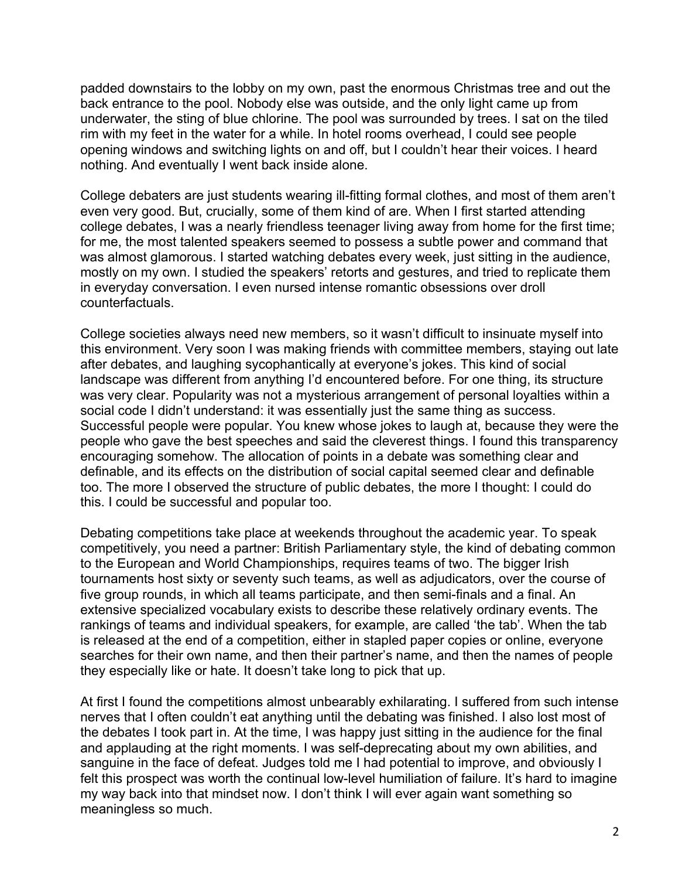padded downstairs to the lobby on my own, past the enormous Christmas tree and out the back entrance to the pool. Nobody else was outside, and the only light came up from underwater, the sting of blue chlorine. The pool was surrounded by trees. I sat on the tiled rim with my feet in the water for a while. In hotel rooms overhead, I could see people opening windows and switching lights on and off, but I couldn't hear their voices. I heard nothing. And eventually I went back inside alone.

College debaters are just students wearing ill-fitting formal clothes, and most of them aren't even very good. But, crucially, some of them kind of are. When I first started attending college debates, I was a nearly friendless teenager living away from home for the first time; for me, the most talented speakers seemed to possess a subtle power and command that was almost glamorous. I started watching debates every week, just sitting in the audience, mostly on my own. I studied the speakers' retorts and gestures, and tried to replicate them in everyday conversation. I even nursed intense romantic obsessions over droll counterfactuals.

College societies always need new members, so it wasn't difficult to insinuate myself into this environment. Very soon I was making friends with committee members, staying out late after debates, and laughing sycophantically at everyone's jokes. This kind of social landscape was different from anything I'd encountered before. For one thing, its structure was very clear. Popularity was not a mysterious arrangement of personal loyalties within a social code I didn't understand: it was essentially just the same thing as success. Successful people were popular. You knew whose jokes to laugh at, because they were the people who gave the best speeches and said the cleverest things. I found this transparency encouraging somehow. The allocation of points in a debate was something clear and definable, and its effects on the distribution of social capital seemed clear and definable too. The more I observed the structure of public debates, the more I thought: I could do this. I could be successful and popular too.

Debating competitions take place at weekends throughout the academic year. To speak competitively, you need a partner: British Parliamentary style, the kind of debating common to the European and World Championships, requires teams of two. The bigger Irish tournaments host sixty or seventy such teams, as well as adjudicators, over the course of five group rounds, in which all teams participate, and then semi-finals and a final. An extensive specialized vocabulary exists to describe these relatively ordinary events. The rankings of teams and individual speakers, for example, are called 'the tab'. When the tab is released at the end of a competition, either in stapled paper copies or online, everyone searches for their own name, and then their partner's name, and then the names of people they especially like or hate. It doesn't take long to pick that up.

At first I found the competitions almost unbearably exhilarating. I suffered from such intense nerves that I often couldn't eat anything until the debating was finished. I also lost most of the debates I took part in. At the time, I was happy just sitting in the audience for the final and applauding at the right moments. I was self-deprecating about my own abilities, and sanguine in the face of defeat. Judges told me I had potential to improve, and obviously I felt this prospect was worth the continual low-level humiliation of failure. It's hard to imagine my way back into that mindset now. I don't think I will ever again want something so meaningless so much.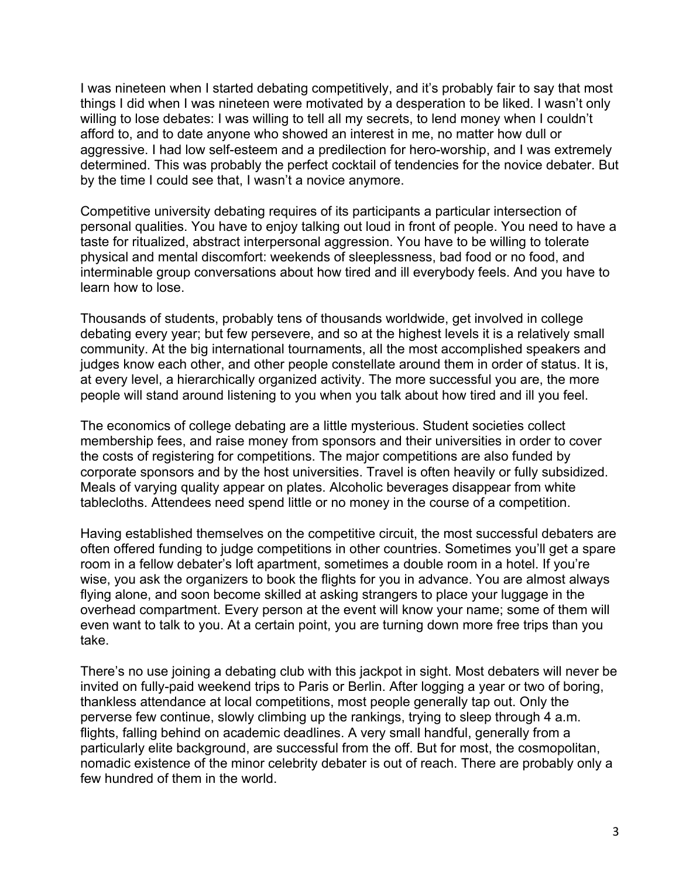I was nineteen when I started debating competitively, and it's probably fair to say that most things I did when I was nineteen were motivated by a desperation to be liked. I wasn't only willing to lose debates: I was willing to tell all my secrets, to lend money when I couldn't afford to, and to date anyone who showed an interest in me, no matter how dull or aggressive. I had low self-esteem and a predilection for hero-worship, and I was extremely determined. This was probably the perfect cocktail of tendencies for the novice debater. But by the time I could see that, I wasn't a novice anymore.

Competitive university debating requires of its participants a particular intersection of personal qualities. You have to enjoy talking out loud in front of people. You need to have a taste for ritualized, abstract interpersonal aggression. You have to be willing to tolerate physical and mental discomfort: weekends of sleeplessness, bad food or no food, and interminable group conversations about how tired and ill everybody feels. And you have to learn how to lose.

Thousands of students, probably tens of thousands worldwide, get involved in college debating every year; but few persevere, and so at the highest levels it is a relatively small community. At the big international tournaments, all the most accomplished speakers and judges know each other, and other people constellate around them in order of status. It is, at every level, a hierarchically organized activity. The more successful you are, the more people will stand around listening to you when you talk about how tired and ill you feel.

The economics of college debating are a little mysterious. Student societies collect membership fees, and raise money from sponsors and their universities in order to cover the costs of registering for competitions. The major competitions are also funded by corporate sponsors and by the host universities. Travel is often heavily or fully subsidized. Meals of varying quality appear on plates. Alcoholic beverages disappear from white tablecloths. Attendees need spend little or no money in the course of a competition.

Having established themselves on the competitive circuit, the most successful debaters are often offered funding to judge competitions in other countries. Sometimes you'll get a spare room in a fellow debater's loft apartment, sometimes a double room in a hotel. If you're wise, you ask the organizers to book the flights for you in advance. You are almost always flying alone, and soon become skilled at asking strangers to place your luggage in the overhead compartment. Every person at the event will know your name; some of them will even want to talk to you. At a certain point, you are turning down more free trips than you take.

There's no use joining a debating club with this jackpot in sight. Most debaters will never be invited on fully-paid weekend trips to Paris or Berlin. After logging a year or two of boring, thankless attendance at local competitions, most people generally tap out. Only the perverse few continue, slowly climbing up the rankings, trying to sleep through 4 a.m. flights, falling behind on academic deadlines. A very small handful, generally from a particularly elite background, are successful from the off. But for most, the cosmopolitan, nomadic existence of the minor celebrity debater is out of reach. There are probably only a few hundred of them in the world.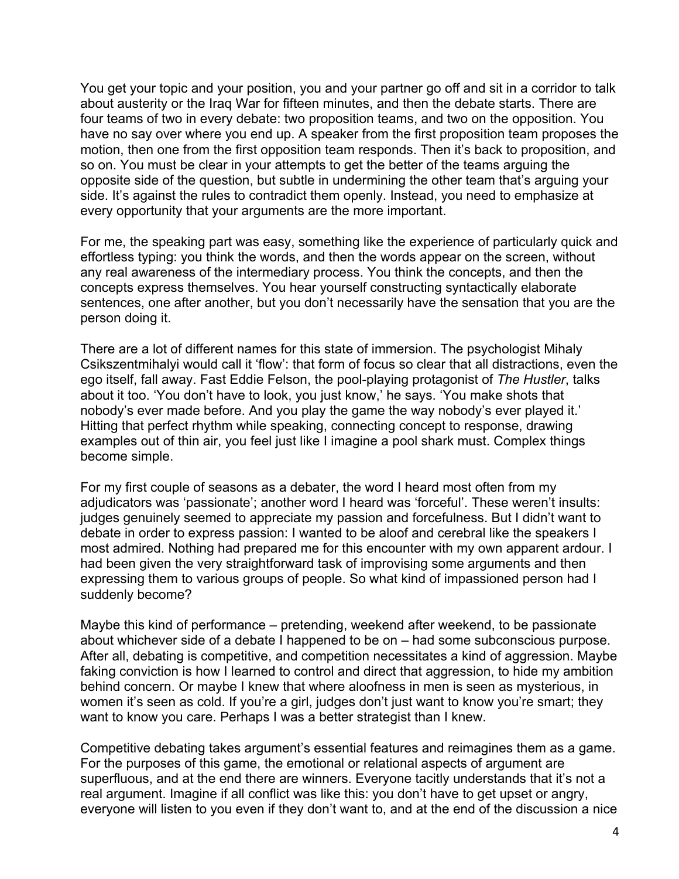You get your topic and your position, you and your partner go off and sit in a corridor to talk about austerity or the Iraq War for fifteen minutes, and then the debate starts. There are four teams of two in every debate: two proposition teams, and two on the opposition. You have no say over where you end up. A speaker from the first proposition team proposes the motion, then one from the first opposition team responds. Then it's back to proposition, and so on. You must be clear in your attempts to get the better of the teams arguing the opposite side of the question, but subtle in undermining the other team that's arguing your side. It's against the rules to contradict them openly. Instead, you need to emphasize at every opportunity that your arguments are the more important.

For me, the speaking part was easy, something like the experience of particularly quick and effortless typing: you think the words, and then the words appear on the screen, without any real awareness of the intermediary process. You think the concepts, and then the concepts express themselves. You hear yourself constructing syntactically elaborate sentences, one after another, but you don't necessarily have the sensation that you are the person doing it.

There are a lot of different names for this state of immersion. The psychologist Mihaly Csikszentmihalyi would call it 'flow': that form of focus so clear that all distractions, even the ego itself, fall away. Fast Eddie Felson, the pool-playing protagonist of *The Hustler*, talks about it too. 'You don't have to look, you just know,' he says. 'You make shots that nobody's ever made before. And you play the game the way nobody's ever played it.' Hitting that perfect rhythm while speaking, connecting concept to response, drawing examples out of thin air, you feel just like I imagine a pool shark must. Complex things become simple.

For my first couple of seasons as a debater, the word I heard most often from my adjudicators was 'passionate'; another word I heard was 'forceful'. These weren't insults: judges genuinely seemed to appreciate my passion and forcefulness. But I didn't want to debate in order to express passion: I wanted to be aloof and cerebral like the speakers I most admired. Nothing had prepared me for this encounter with my own apparent ardour. I had been given the very straightforward task of improvising some arguments and then expressing them to various groups of people. So what kind of impassioned person had I suddenly become?

Maybe this kind of performance – pretending, weekend after weekend, to be passionate about whichever side of a debate I happened to be on – had some subconscious purpose. After all, debating is competitive, and competition necessitates a kind of aggression. Maybe faking conviction is how I learned to control and direct that aggression, to hide my ambition behind concern. Or maybe I knew that where aloofness in men is seen as mysterious, in women it's seen as cold. If you're a girl, judges don't just want to know you're smart; they want to know you care. Perhaps I was a better strategist than I knew.

Competitive debating takes argument's essential features and reimagines them as a game. For the purposes of this game, the emotional or relational aspects of argument are superfluous, and at the end there are winners. Everyone tacitly understands that it's not a real argument. Imagine if all conflict was like this: you don't have to get upset or angry, everyone will listen to you even if they don't want to, and at the end of the discussion a nice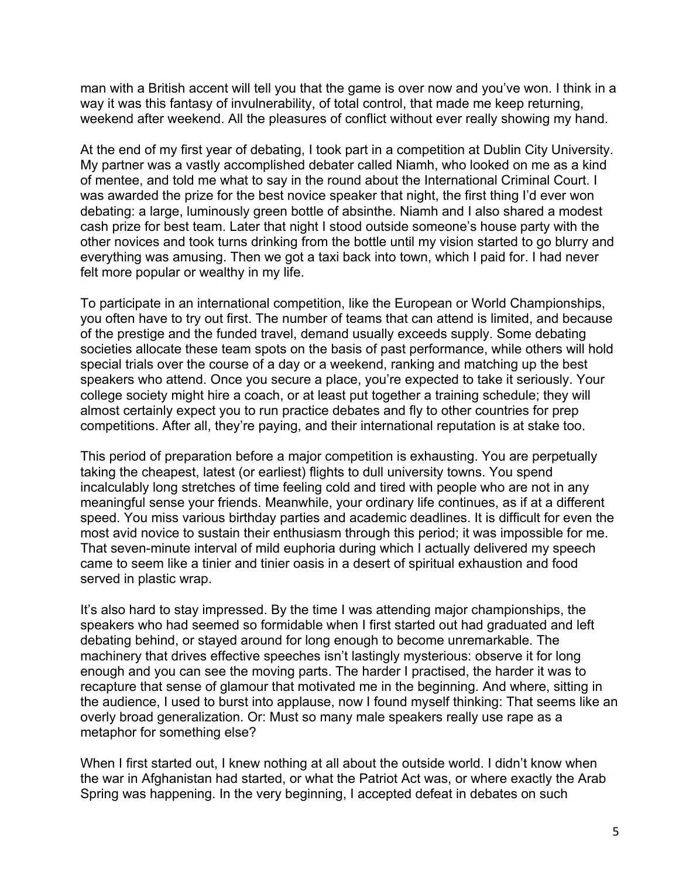man with a British accent will tell you that the game is over now and you've won. I think in a way it was this fantasy of invulnerability, of total control, that made me keep returning, weekend after weekend. All the pleasures of conflict without ever really showing my hand.

At the end of my first year of debating, I took part in a competition at Dublin City University. My partner was a vastly accomplished debater called Niamh, who looked on me as a kind of mentee, and told me what to say in the round about the International Criminal Court. I was awarded the prize for the best novice speaker that night, the first thing I'd ever won debating: a large, luminously green bottle of absinthe. Niamh and I also shared a modest cash prize for best team. Later that night I stood outside someone's house party with the other novices and took turns drinking from the bottle until my vision started to go blurry and everything was amusing. Then we got a taxi back into town, which I paid for. I had never felt more popular or wealthy in my life.

To participate in an international competition, like the European or World Championships, you often have to try out first. The number of teams that can attend is limited, and because of the prestige and the funded travel, demand usually exceeds supply. Some debating societies allocate these team spots on the basis of past performance, while others will hold special trials over the course of a day or a weekend, ranking and matching up the best speakers who attend. Once you secure a place, you're expected to take it seriously. Your college society might hire a coach, or at least put together a training schedule; they will almost certainly expect you to run practice debates and fly to other countries for prep competitions. After all, they're paying, and their international reputation is at stake too.

This period of preparation before a major competition is exhausting. You are perpetually taking the cheapest, latest (or earliest) flights to dull university towns. You spend incalculably long stretches of time feeling cold and tired with people who are not in any meaningful sense your friends. Meanwhile, your ordinary life continues, as if at a different speed. You miss various birthday parties and academic deadlines. It is difficult for even the most avid novice to sustain their enthusiasm through this period; it was impossible for me. That seven-minute interval of mild euphoria during which I actually delivered my speech came to seem like a tinier and tinier oasis in a desert of spiritual exhaustion and food served in plastic wrap.

It's also hard to stay impressed. By the time I was attending major championships, the speakers who had seemed so formidable when I first started out had graduated and left debating behind, or stayed around for long enough to become unremarkable. The machinery that drives effective speeches isn't lastingly mysterious: observe it for long enough and you can see the moving parts. The harder I practised, the harder it was to recapture that sense of glamour that motivated me in the beginning. And where, sitting in the audience, I used to burst into applause, now I found myself thinking: That seems like an overly broad generalization. Or: Must so many male speakers really use rape as a metaphor for something else?

When I first started out, I knew nothing at all about the outside world. I didn't know when the war in Afghanistan had started, or what the Patriot Act was, or where exactly the Arab Spring was happening. In the very beginning, I accepted defeat in debates on such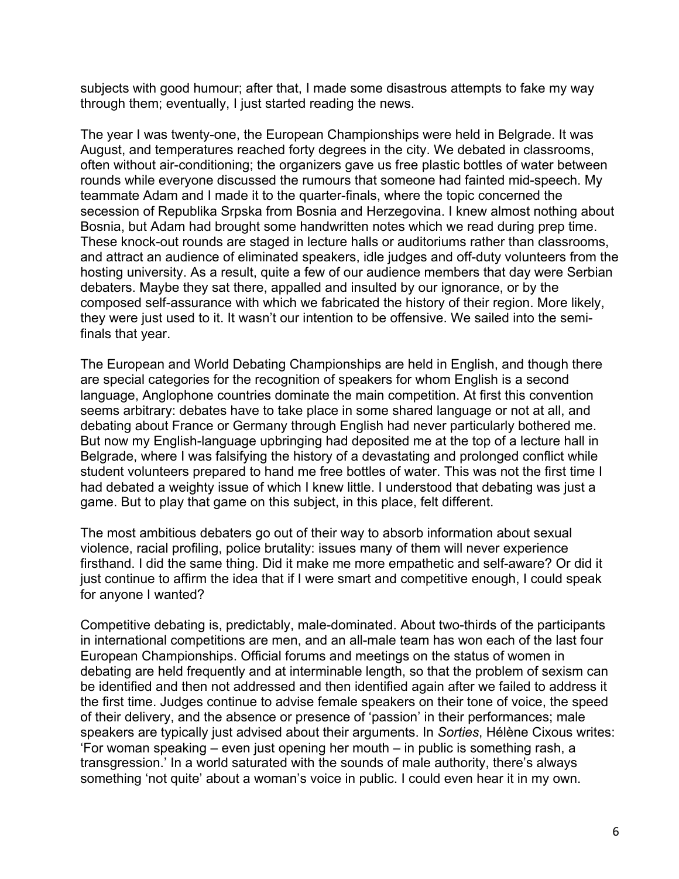subjects with good humour; after that, I made some disastrous attempts to fake my way through them; eventually, I just started reading the news.

The year I was twenty-one, the European Championships were held in Belgrade. It was August, and temperatures reached forty degrees in the city. We debated in classrooms, often without air-conditioning; the organizers gave us free plastic bottles of water between rounds while everyone discussed the rumours that someone had fainted mid-speech. My teammate Adam and I made it to the quarter-finals, where the topic concerned the secession of Republika Srpska from Bosnia and Herzegovina. I knew almost nothing about Bosnia, but Adam had brought some handwritten notes which we read during prep time. These knock-out rounds are staged in lecture halls or auditoriums rather than classrooms, and attract an audience of eliminated speakers, idle judges and off-duty volunteers from the hosting university. As a result, quite a few of our audience members that day were Serbian debaters. Maybe they sat there, appalled and insulted by our ignorance, or by the composed self-assurance with which we fabricated the history of their region. More likely, they were just used to it. It wasn't our intention to be offensive. We sailed into the semifinals that year.

The European and World Debating Championships are held in English, and though there are special categories for the recognition of speakers for whom English is a second language, Anglophone countries dominate the main competition. At first this convention seems arbitrary: debates have to take place in some shared language or not at all, and debating about France or Germany through English had never particularly bothered me. But now my English-language upbringing had deposited me at the top of a lecture hall in Belgrade, where I was falsifying the history of a devastating and prolonged conflict while student volunteers prepared to hand me free bottles of water. This was not the first time I had debated a weighty issue of which I knew little. I understood that debating was just a game. But to play that game on this subject, in this place, felt different.

The most ambitious debaters go out of their way to absorb information about sexual violence, racial profiling, police brutality: issues many of them will never experience firsthand. I did the same thing. Did it make me more empathetic and self-aware? Or did it just continue to affirm the idea that if I were smart and competitive enough, I could speak for anyone I wanted?

Competitive debating is, predictably, male-dominated. About two-thirds of the participants in international competitions are men, and an all-male team has won each of the last four European Championships. Official forums and meetings on the status of women in debating are held frequently and at interminable length, so that the problem of sexism can be identified and then not addressed and then identified again after we failed to address it the first time. Judges continue to advise female speakers on their tone of voice, the speed of their delivery, and the absence or presence of 'passion' in their performances; male speakers are typically just advised about their arguments. In *Sorties*, Hélène Cixous writes: 'For woman speaking – even just opening her mouth – in public is something rash, a transgression.' In a world saturated with the sounds of male authority, there's always something 'not quite' about a woman's voice in public. I could even hear it in my own.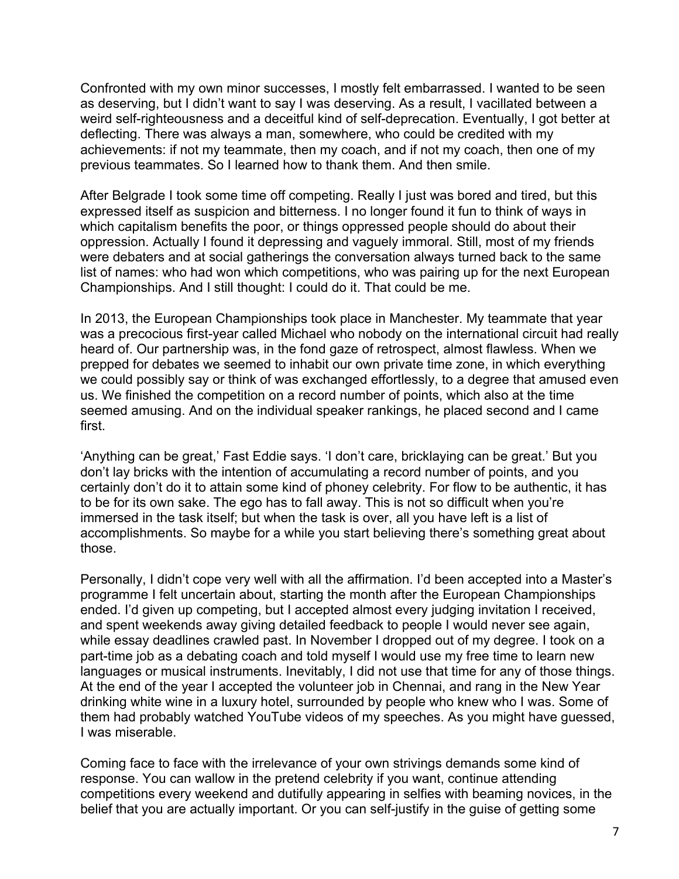Confronted with my own minor successes, I mostly felt embarrassed. I wanted to be seen as deserving, but I didn't want to say I was deserving. As a result, I vacillated between a weird self-righteousness and a deceitful kind of self-deprecation. Eventually, I got better at deflecting. There was always a man, somewhere, who could be credited with my achievements: if not my teammate, then my coach, and if not my coach, then one of my previous teammates. So I learned how to thank them. And then smile.

After Belgrade I took some time off competing. Really I just was bored and tired, but this expressed itself as suspicion and bitterness. I no longer found it fun to think of ways in which capitalism benefits the poor, or things oppressed people should do about their oppression. Actually I found it depressing and vaguely immoral. Still, most of my friends were debaters and at social gatherings the conversation always turned back to the same list of names: who had won which competitions, who was pairing up for the next European Championships. And I still thought: I could do it. That could be me.

In 2013, the European Championships took place in Manchester. My teammate that year was a precocious first-year called Michael who nobody on the international circuit had really heard of. Our partnership was, in the fond gaze of retrospect, almost flawless. When we prepped for debates we seemed to inhabit our own private time zone, in which everything we could possibly say or think of was exchanged effortlessly, to a degree that amused even us. We finished the competition on a record number of points, which also at the time seemed amusing. And on the individual speaker rankings, he placed second and I came first.

'Anything can be great,' Fast Eddie says. 'I don't care, bricklaying can be great.' But you don't lay bricks with the intention of accumulating a record number of points, and you certainly don't do it to attain some kind of phoney celebrity. For flow to be authentic, it has to be for its own sake. The ego has to fall away. This is not so difficult when you're immersed in the task itself; but when the task is over, all you have left is a list of accomplishments. So maybe for a while you start believing there's something great about those.

Personally, I didn't cope very well with all the affirmation. I'd been accepted into a Master's programme I felt uncertain about, starting the month after the European Championships ended. I'd given up competing, but I accepted almost every judging invitation I received, and spent weekends away giving detailed feedback to people I would never see again, while essay deadlines crawled past. In November I dropped out of my degree. I took on a part-time job as a debating coach and told myself I would use my free time to learn new languages or musical instruments. Inevitably, I did not use that time for any of those things. At the end of the year I accepted the volunteer job in Chennai, and rang in the New Year drinking white wine in a luxury hotel, surrounded by people who knew who I was. Some of them had probably watched YouTube videos of my speeches. As you might have guessed, I was miserable.

Coming face to face with the irrelevance of your own strivings demands some kind of response. You can wallow in the pretend celebrity if you want, continue attending competitions every weekend and dutifully appearing in selfies with beaming novices, in the belief that you are actually important. Or you can self-justify in the guise of getting some